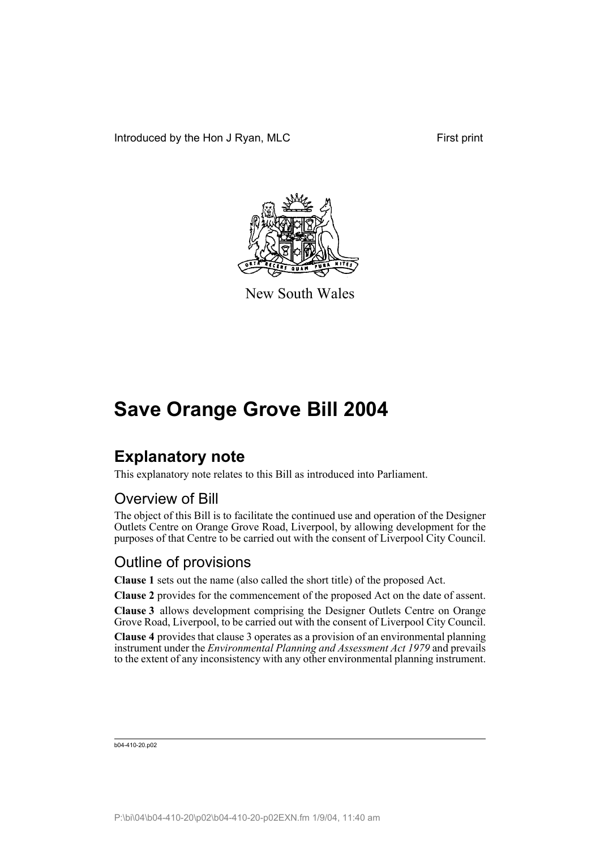

New South Wales

## **Save Orange Grove Bill 2004**

### **Explanatory note**

This explanatory note relates to this Bill as introduced into Parliament.

#### Overview of Bill

The object of this Bill is to facilitate the continued use and operation of the Designer Outlets Centre on Orange Grove Road, Liverpool, by allowing development for the purposes of that Centre to be carried out with the consent of Liverpool City Council.

#### Outline of provisions

**Clause 1** sets out the name (also called the short title) of the proposed Act.

**Clause 2** provides for the commencement of the proposed Act on the date of assent.

**Clause 3** allows development comprising the Designer Outlets Centre on Orange Grove Road, Liverpool, to be carried out with the consent of Liverpool City Council.

**Clause 4** provides that clause 3 operates as a provision of an environmental planning instrument under the *Environmental Planning and Assessment Act 1979* and prevails to the extent of any inconsistency with any other environmental planning instrument.

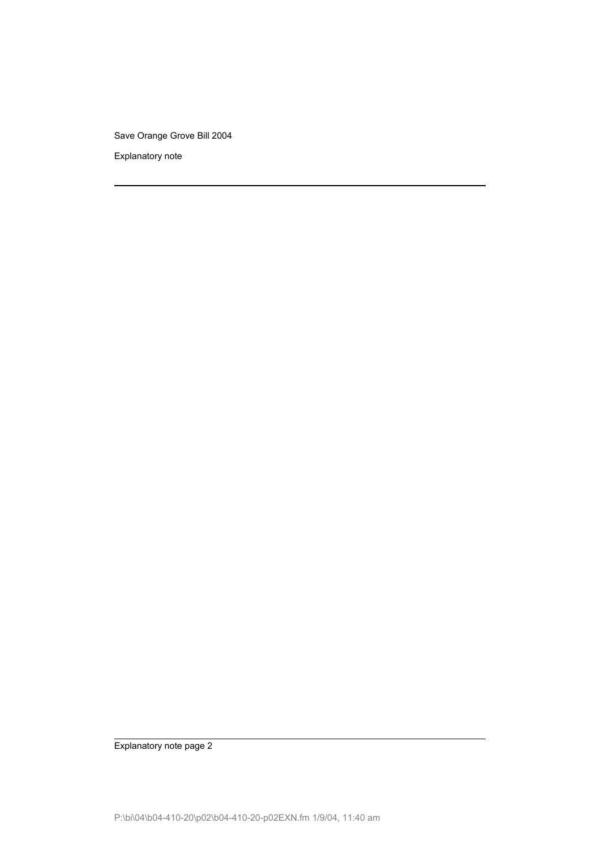Save Orange Grove Bill 2004

Explanatory note

Explanatory note page 2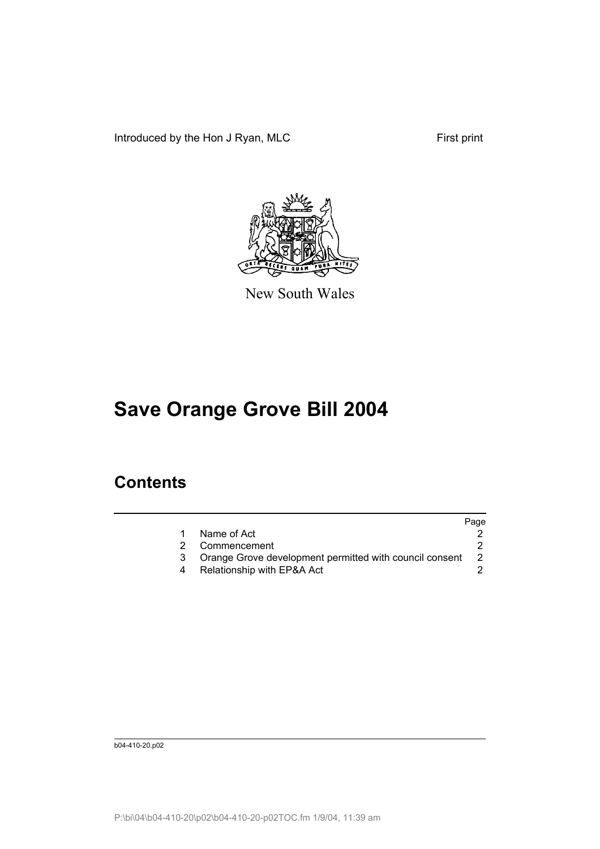Introduced by the Hon J Ryan, MLC First print



New South Wales

# **Save Orange Grove Bill 2004**

### **Contents**

|   |                                                         | Page |
|---|---------------------------------------------------------|------|
|   | Name of Act                                             |      |
| 2 | Commencement                                            |      |
|   | Orange Grove development permitted with council consent | 2    |
|   | Relationship with EP&A Act                              |      |
|   |                                                         |      |

b04-410-20.p02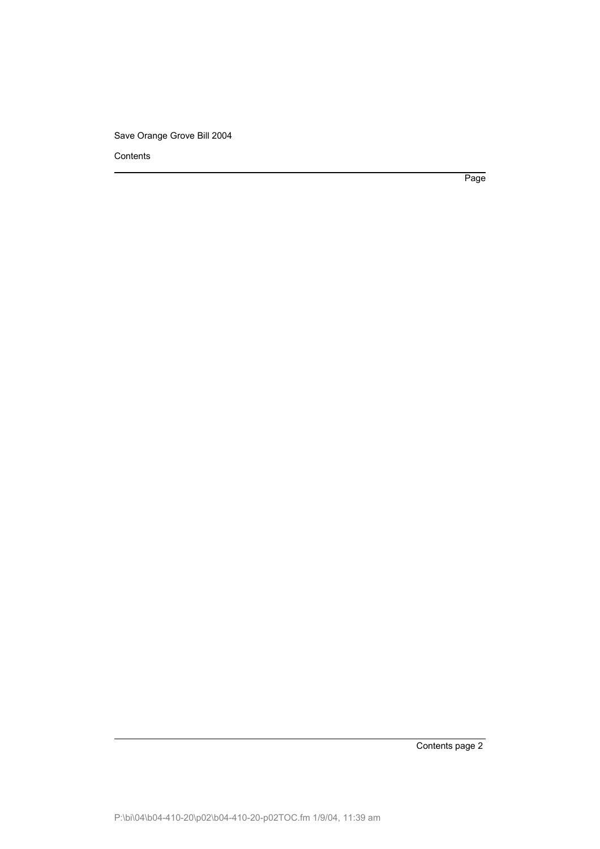Save Orange Grove Bill 2004

**Contents** 

Page

Contents page 2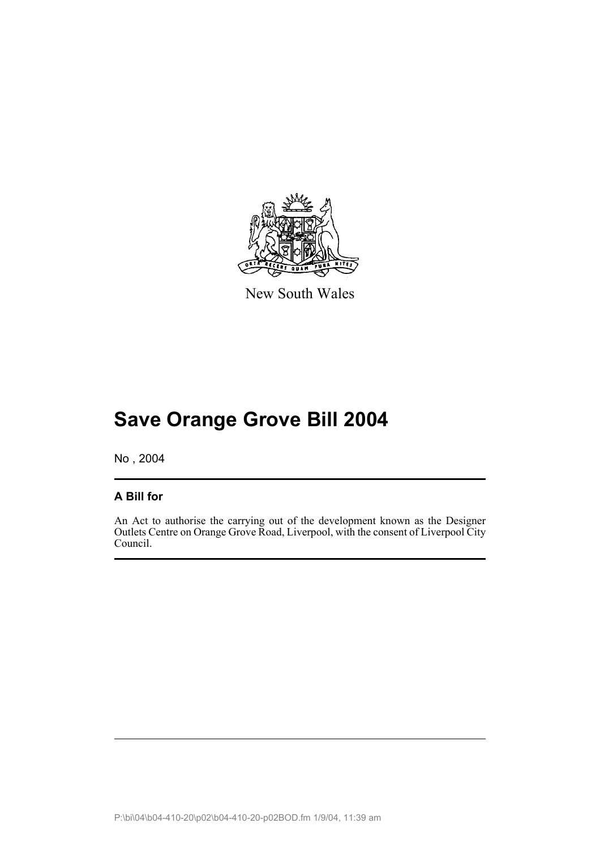

New South Wales

# **Save Orange Grove Bill 2004**

No , 2004

#### **A Bill for**

An Act to authorise the carrying out of the development known as the Designer Outlets Centre on Orange Grove Road, Liverpool, with the consent of Liverpool City Council.